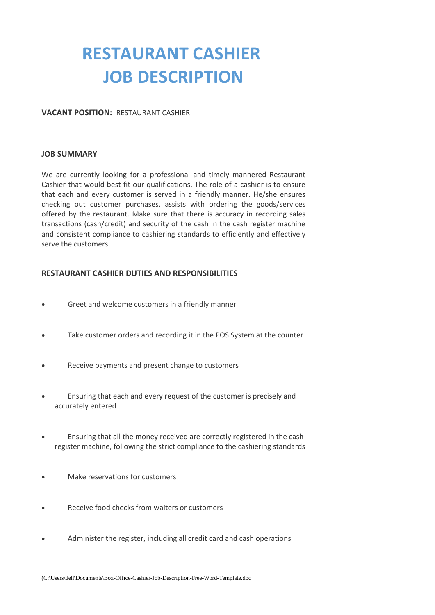# **RESTAURANT CASHIER JOB DESCRIPTION**

#### **VACANT POSITION:** RESTAURANT CASHIER

#### **JOB SUMMARY**

We are currently looking for a professional and timely mannered Restaurant Cashier that would best fit our qualifications. The role of a cashier is to ensure that each and every customer is served in a friendly manner. He/she ensures checking out customer purchases, assists with ordering the goods/services offered by the restaurant. Make sure that there is accuracy in recording sales transactions (cash/credit) and security of the cash in the cash register machine and consistent compliance to cashiering standards to efficiently and effectively serve the customers.

### **RESTAURANT CASHIER DUTIES AND RESPONSIBILITIES**

- Greet and welcome customers in a friendly manner
- Take customer orders and recording it in the POS System at the counter
- Receive payments and present change to customers
- Ensuring that each and every request of the customer is precisely and accurately entered
- Ensuring that all the money received are correctly registered in the cash register machine, following the strict compliance to the cashiering standards
- Make reservations for customers
- Receive food checks from waiters or customers
- Administer the register, including all credit card and cash operations